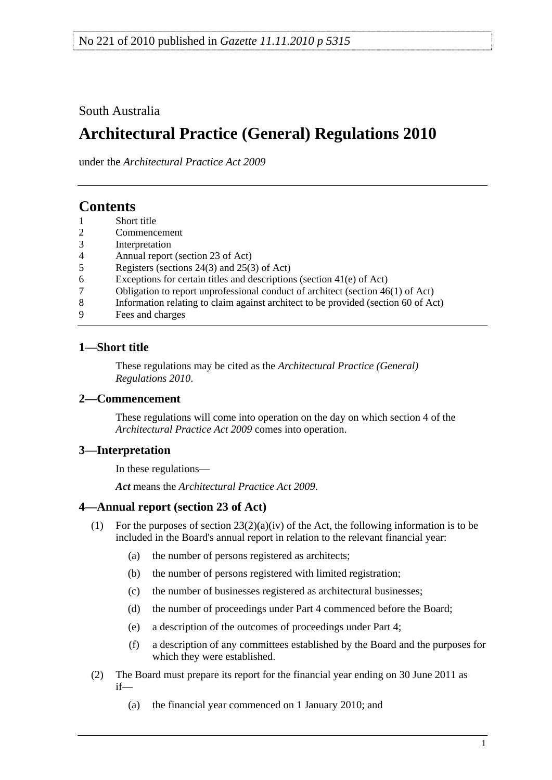## <span id="page-0-0"></span>South Australia

# **Architectural Practice (General) Regulations 2010**

under the *Architectural Practice Act 2009*

## **Contents**

- [1 Short title](#page-0-0)
- [2 Commencement](#page-0-0)
- [3 Interpretation](#page-0-0)
- [4 Annual report \(section 23 of Act\)](#page-0-0)
- [5 Registers \(sections 24\(3\) and 25\(3\) of Act\)](#page-1-0)
- [6 Exceptions for certain titles and descriptions \(section 41\(e\) of Act\)](#page-1-0)
- [7 Obligation to report unprofessional conduct of architect \(section 46\(1\) of Act\)](#page-1-0)
- [8 Information relating to claim against architect to be provided \(section 60 of Act\)](#page-1-0)
- [9 Fees and charges](#page-2-0)

## **1—Short title**

These regulations may be cited as the *Architectural Practice (General) Regulations 2010*.

## **2—Commencement**

These regulations will come into operation on the day on which section 4 of the *[Architectural Practice Act 2009](http://www.legislation.sa.gov.au/index.aspx?action=legref&type=act&legtitle=Architectural%20Practice%20Act%202009)* comes into operation.

## **3—Interpretation**

In these regulations—

*Act* means the *[Architectural Practice Act 2009](http://www.legislation.sa.gov.au/index.aspx?action=legref&type=act&legtitle=Architectural%20Practice%20Act%202009)*.

## **4—Annual report (section 23 of Act)**

- (1) For the purposes of section  $23(2)(a)(iv)$  of the Act, the following information is to be included in the Board's annual report in relation to the relevant financial year:
	- (a) the number of persons registered as architects;
	- (b) the number of persons registered with limited registration;
	- (c) the number of businesses registered as architectural businesses;
	- (d) the number of proceedings under Part 4 commenced before the Board;
	- (e) a description of the outcomes of proceedings under Part 4;
	- (f) a description of any committees established by the Board and the purposes for which they were established.
- (2) The Board must prepare its report for the financial year ending on 30 June 2011 as if—
	- (a) the financial year commenced on 1 January 2010; and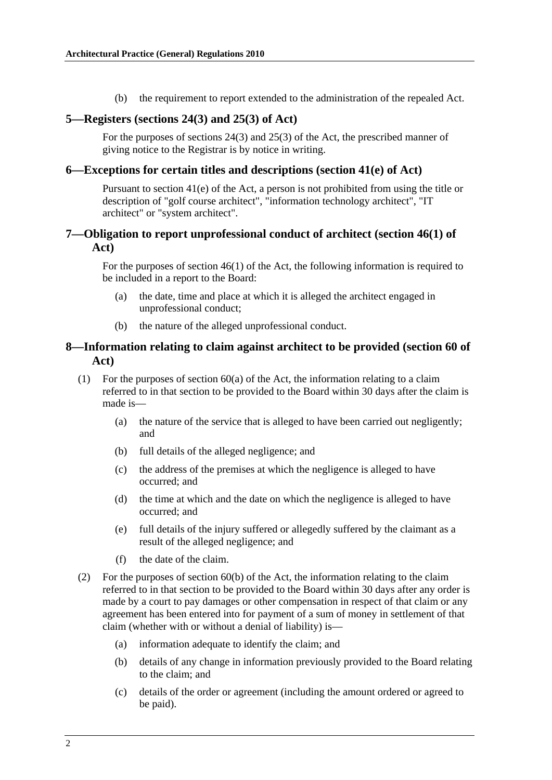(b) the requirement to report extended to the administration of the repealed Act.

#### <span id="page-1-0"></span>**5—Registers (sections 24(3) and 25(3) of Act)**

For the purposes of sections 24(3) and 25(3) of the Act, the prescribed manner of giving notice to the Registrar is by notice in writing.

#### **6—Exceptions for certain titles and descriptions (section 41(e) of Act)**

Pursuant to section 41(e) of the Act, a person is not prohibited from using the title or description of "golf course architect", "information technology architect", "IT architect" or "system architect".

#### **7—Obligation to report unprofessional conduct of architect (section 46(1) of Act)**

For the purposes of section 46(1) of the Act, the following information is required to be included in a report to the Board:

- (a) the date, time and place at which it is alleged the architect engaged in unprofessional conduct;
- (b) the nature of the alleged unprofessional conduct.

#### **8—Information relating to claim against architect to be provided (section 60 of Act)**

- (1) For the purposes of section 60(a) of the Act, the information relating to a claim referred to in that section to be provided to the Board within 30 days after the claim is made is—
	- (a) the nature of the service that is alleged to have been carried out negligently; and
	- (b) full details of the alleged negligence; and
	- (c) the address of the premises at which the negligence is alleged to have occurred; and
	- (d) the time at which and the date on which the negligence is alleged to have occurred; and
	- (e) full details of the injury suffered or allegedly suffered by the claimant as a result of the alleged negligence; and
	- (f) the date of the claim.
- (2) For the purposes of section  $60(b)$  of the Act, the information relating to the claim referred to in that section to be provided to the Board within 30 days after any order is made by a court to pay damages or other compensation in respect of that claim or any agreement has been entered into for payment of a sum of money in settlement of that claim (whether with or without a denial of liability) is—
	- (a) information adequate to identify the claim; and
	- (b) details of any change in information previously provided to the Board relating to the claim; and
	- (c) details of the order or agreement (including the amount ordered or agreed to be paid).